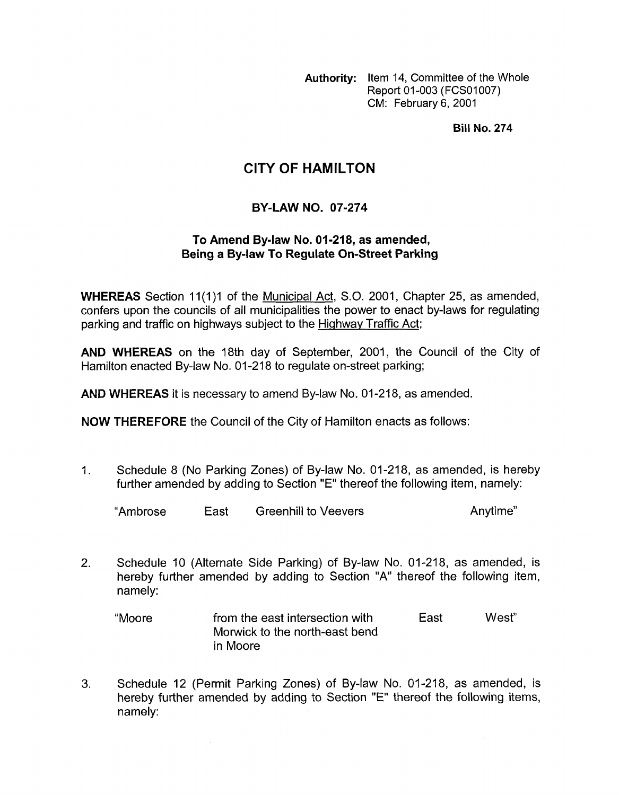**Authority:** Item 14, Committee of the Whole Report 01-003 (FCS01007) CM: February 6, 2001

**Bill No. 274** 

## **CITY OF HAMILTON**

## **BY-LAW NO. 07-274**

## **To Amend Bylaw No. 01-218, as amended, Being a By-law To Regulate On-Street Parking**

**WHEREAS** Section 11(1)1 of the Municipal Act, S.O. 2001, Chapter 25, as amended, confers upon the councils of all municipalities the power to enact by-laws for regulating parking and traffic on highways subject to the Highway Traffic Act;

**AND WHEREAS** on the 18th day of September, 2001, the Council of the City of Hamilton enacted By-law No. 01-218 to regulate on-street parking;

**AND WHEREAS** it is necessary to amend By-law **No.** 01-218, as amended.

**NOW THEREFORE** the Council of the City of Hamilton enacts as follows:

1. Schedule 8 **(No** Parking Zones) of By-law No. 01-218, as amended, is hereby further amended by adding to Section "E" thereof the following item, namely:

"Ambrose East Greenhill to Veevers Anytime"

2. Schedule 10 (Alternate Side Parking) of By-law No. 01-218, as amended, is hereby further amended by adding to Section "A" thereof the following item, namely:

"Moore from the east intersection with East West" Morwick to the north-east bend in Moore

**3.** Schedule 12 (Permit Parking Zones) of By-law No. 01-218, as amended, is hereby further amended by adding to Section "E" thereof the following items, namely:

 $\hat{\boldsymbol{\gamma}}$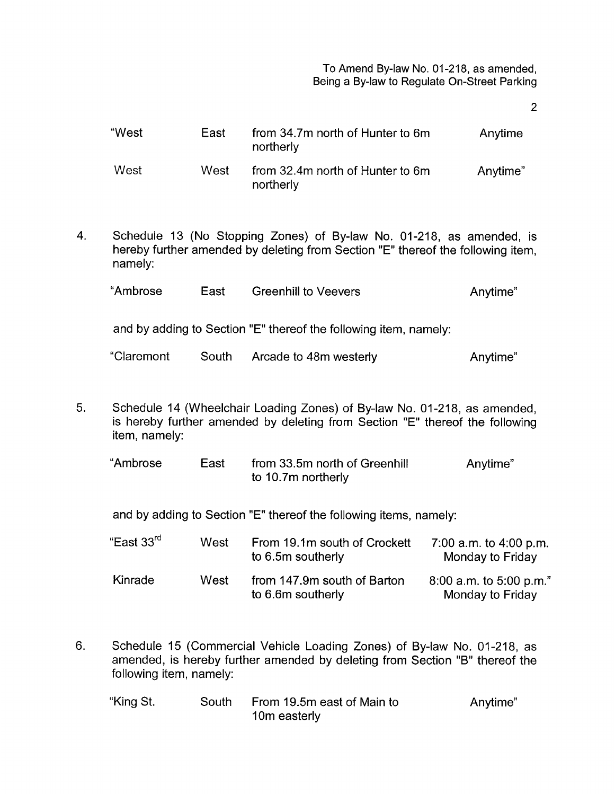To Amend By-law No. 01-218, as amended, Being a By-law to Regulate On-Street Parking

2

| "West | East | from 34.7m north of Hunter to 6m<br>northerly | Anytime  |
|-------|------|-----------------------------------------------|----------|
| West  | West | from 32.4m north of Hunter to 6m<br>northerly | Anytime" |

4. Schedule 13 (No Stopping Zones) of By-law No. 01-218, as amended, is hereby further amended by deleting from Section "E" thereof the following item, namely:

| "Ambrose | East | <b>Greenhill to Veevers</b> | Anytime" |
|----------|------|-----------------------------|----------|
|----------|------|-----------------------------|----------|

and by adding to Section "E" thereof the following item, namely:

| "Claremont | South | Arcade to 48m westerly | Anytime" |
|------------|-------|------------------------|----------|
|------------|-------|------------------------|----------|

5. Schedule 14 (Wheelchair Loading Zones) of By-law No. 01-218, as amended, is hereby further amended by deleting from Section "E" thereof the following item, namely:

| "Ambrose | East | from 33.5m north of Greenhill | Anytime" |
|----------|------|-------------------------------|----------|
|          |      | to 10.7m northerly            |          |

and by adding to Section "E" thereof the following items, namely:

| "East 33 <sup>rd</sup> | West | From 19.1m south of Crockett<br>to 6.5m southerly | 7:00 a.m. to 4:00 p.m.<br>Monday to Friday  |
|------------------------|------|---------------------------------------------------|---------------------------------------------|
| Kinrade                | West | from 147.9m south of Barton<br>to 6.6m southerly  | 8:00 a.m. to 5:00 p.m."<br>Monday to Friday |

6. Schedule 15 (Commercial Vehicle Loading Zones) of By-law No. 01-218, as amended, is hereby further amended by deleting from Section "B" thereof the following item, namely:

| "King St. | South | From 19.5m east of Main to | Anytime" |
|-----------|-------|----------------------------|----------|
|           |       | 10m easterly               |          |